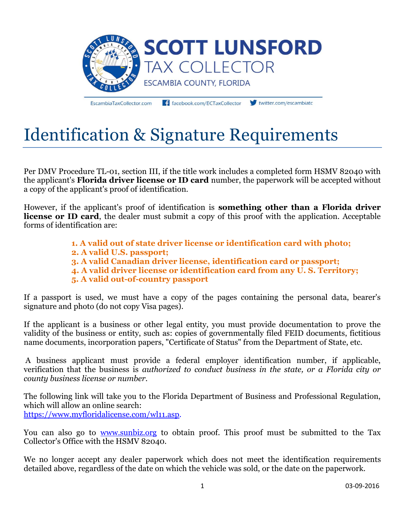

EscambiaTaxCollector.com

facebook.com/ECTaxCollector

twitter.com/escambiato

# Identification & Signature Requirements

Per DMV Procedure TL-01, section III, if the title work includes a completed form HSMV 82040 with the applicant's **Florida driver license or ID card** number, the paperwork will be accepted without a copy of the applicant's proof of identification.

However, if the applicant's proof of identification is **something other than a Florida driver license or ID card**, the dealer must submit a copy of this proof with the application. Acceptable forms of identification are:

- **1. A valid out of state driver license or identification card with photo;**
- **2. A valid U.S. passport;**
- **3. A valid Canadian driver license, identification card or passport;**
- **4. A valid driver license or identification card from any U. S. Territory;**
- **5. A valid out-of-country passport**

If a passport is used, we must have a copy of the pages containing the personal data, bearer's signature and photo (do not copy Visa pages).

If the applicant is a business or other legal entity, you must provide documentation to prove the validity of the business or entity, such as: copies of governmentally filed FEID documents, fictitious name documents, incorporation papers, "Certificate of Status" from the Department of State, etc.

A business applicant must provide a federal employer identification number, if applicable, verification that the business is *authorized to conduct business in the state, or a Florida city or county business license or number.*

The following link will take you to the Florida Department of Business and Professional Regulation, which will allow an online search: [https://www.myfloridalicense.com/wl11.asp.](https://www.myfloridalicense.com/wl11.asp)

You can also go to [www.sunbiz.org](http://www.sunbiz.org/) to obtain proof. This proof must be submitted to the Tax Collector's Office with the HSMV 82040.

We no longer accept any dealer paperwork which does not meet the identification requirements detailed above, regardless of the date on which the vehicle was sold, or the date on the paperwork.